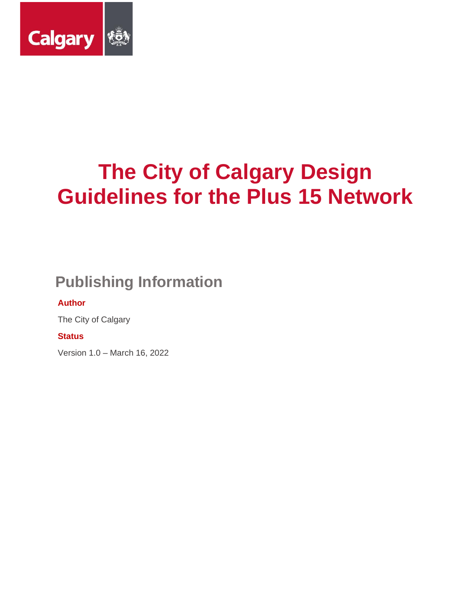

# **Publishing Information**

#### **Author**

The City of Calgary

**Status**

Version 1.0 – March 16, 2022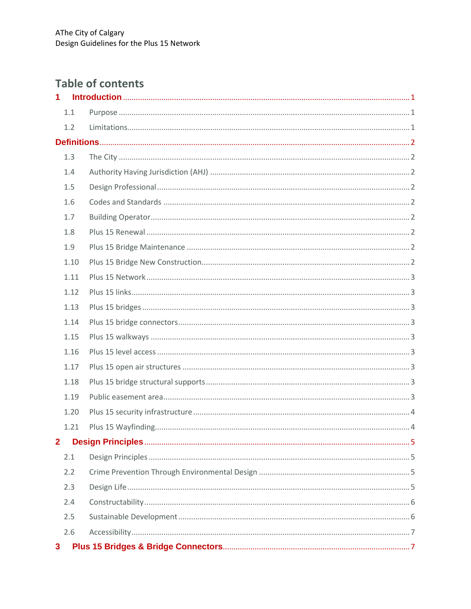# **Table of contents**

| $\overline{1}$ |      |  |
|----------------|------|--|
|                | 1.1  |  |
|                | 1.2  |  |
|                |      |  |
|                | 1.3  |  |
|                | 1.4  |  |
|                | 1.5  |  |
|                | 1.6  |  |
|                | 1.7  |  |
|                | 1.8  |  |
|                | 1.9  |  |
|                | 1.10 |  |
|                | 1.11 |  |
|                | 1.12 |  |
|                | 1.13 |  |
|                | 1.14 |  |
|                | 1.15 |  |
|                | 1.16 |  |
|                | 1.17 |  |
|                | 1.18 |  |
|                | 1.19 |  |
|                | 1.20 |  |
|                | 1.21 |  |
| $\overline{2}$ |      |  |
|                | 2.1  |  |
|                | 2.2  |  |
|                | 2.3  |  |
|                | 2.4  |  |
|                | 2.5  |  |
|                | 2.6  |  |
| 3              |      |  |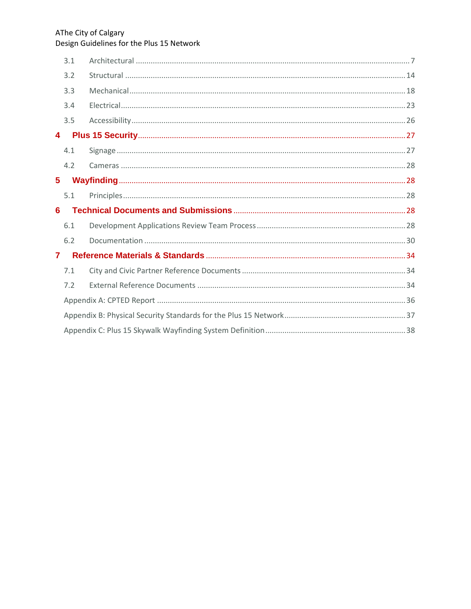|              | 3.1 |  |  |  |
|--------------|-----|--|--|--|
|              | 3.2 |  |  |  |
|              | 3.3 |  |  |  |
|              | 3.4 |  |  |  |
|              | 3.5 |  |  |  |
| 4            |     |  |  |  |
|              | 4.1 |  |  |  |
|              | 4.2 |  |  |  |
| $5^{\circ}$  |     |  |  |  |
|              | 5.1 |  |  |  |
| 6            |     |  |  |  |
|              | 6.1 |  |  |  |
|              | 6.2 |  |  |  |
| $\mathbf{7}$ |     |  |  |  |
|              | 7.1 |  |  |  |
|              | 7.2 |  |  |  |
|              |     |  |  |  |
|              |     |  |  |  |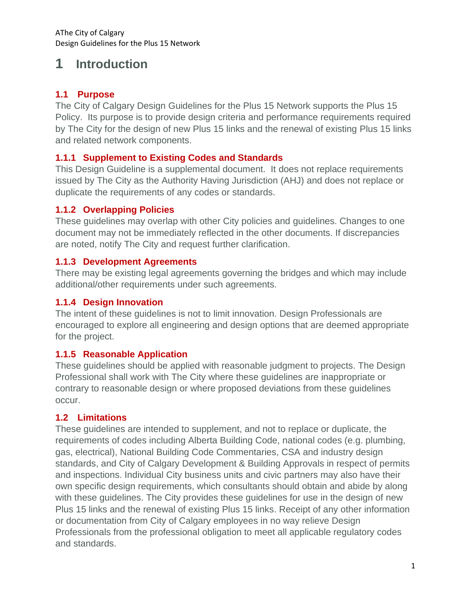# <span id="page-3-0"></span>**1 Introduction**

#### <span id="page-3-1"></span>**1.1 Purpose**

The City of Calgary Design Guidelines for the Plus 15 Network supports the Plus 15 Policy. Its purpose is to provide design criteria and performance requirements required by The City for the design of new Plus 15 links and the renewal of existing Plus 15 links and related network components.

#### **1.1.1 Supplement to Existing Codes and Standards**

This Design Guideline is a supplemental document. It does not replace requirements issued by The City as the Authority Having Jurisdiction (AHJ) and does not replace or duplicate the requirements of any codes or standards.

#### **1.1.2 Overlapping Policies**

These guidelines may overlap with other City policies and guidelines. Changes to one document may not be immediately reflected in the other documents. If discrepancies are noted, notify The City and request further clarification.

### **1.1.3 Development Agreements**

There may be existing legal agreements governing the bridges and which may include additional/other requirements under such agreements.

#### **1.1.4 Design Innovation**

The intent of these guidelines is not to limit innovation. Design Professionals are encouraged to explore all engineering and design options that are deemed appropriate for the project.

### **1.1.5 Reasonable Application**

These guidelines should be applied with reasonable judgment to projects. The Design Professional shall work with The City where these guidelines are inappropriate or contrary to reasonable design or where proposed deviations from these guidelines occur.

### <span id="page-3-2"></span>**1.2 Limitations**

These guidelines are intended to supplement, and not to replace or duplicate, the requirements of codes including Alberta Building Code, national codes (e.g. plumbing, gas, electrical), National Building Code Commentaries, CSA and industry design standards, and City of Calgary Development & Building Approvals in respect of permits and inspections. Individual City business units and civic partners may also have their own specific design requirements, which consultants should obtain and abide by along with these guidelines. The City provides these guidelines for use in the design of new Plus 15 links and the renewal of existing Plus 15 links. Receipt of any other information or documentation from City of Calgary employees in no way relieve Design Professionals from the professional obligation to meet all applicable regulatory codes and standards.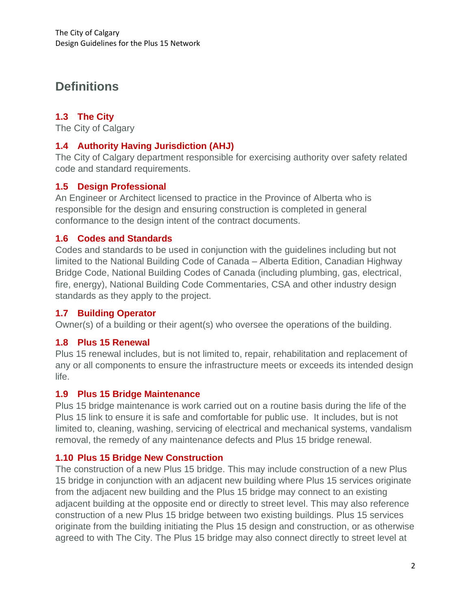# <span id="page-4-0"></span>**Definitions**

## <span id="page-4-1"></span>**1.3 The City**

The City of Calgary

#### <span id="page-4-2"></span>**1.4 Authority Having Jurisdiction (AHJ)**

The City of Calgary department responsible for exercising authority over safety related code and standard requirements.

### <span id="page-4-3"></span>**1.5 Design Professional**

An Engineer or Architect licensed to practice in the Province of Alberta who is responsible for the design and ensuring construction is completed in general conformance to the design intent of the contract documents.

#### <span id="page-4-4"></span>**1.6 Codes and Standards**

Codes and standards to be used in conjunction with the guidelines including but not limited to the National Building Code of Canada – Alberta Edition, Canadian Highway Bridge Code, National Building Codes of Canada (including plumbing, gas, electrical, fire, energy), National Building Code Commentaries, CSA and other industry design standards as they apply to the project.

#### <span id="page-4-5"></span>**1.7 Building Operator**

Owner(s) of a building or their agent(s) who oversee the operations of the building.

#### <span id="page-4-6"></span>**1.8 Plus 15 Renewal**

Plus 15 renewal includes, but is not limited to, repair, rehabilitation and replacement of any or all components to ensure the infrastructure meets or exceeds its intended design life.

#### <span id="page-4-7"></span>**1.9 Plus 15 Bridge Maintenance**

Plus 15 bridge maintenance is work carried out on a routine basis during the life of the Plus 15 link to ensure it is safe and comfortable for public use. It includes, but is not limited to, cleaning, washing, servicing of electrical and mechanical systems, vandalism removal, the remedy of any maintenance defects and Plus 15 bridge renewal.

### <span id="page-4-8"></span>**1.10 Plus 15 Bridge New Construction**

The construction of a new Plus 15 bridge. This may include construction of a new Plus 15 bridge in conjunction with an adjacent new building where Plus 15 services originate from the adjacent new building and the Plus 15 bridge may connect to an existing adjacent building at the opposite end or directly to street level. This may also reference construction of a new Plus 15 bridge between two existing buildings. Plus 15 services originate from the building initiating the Plus 15 design and construction, or as otherwise agreed to with The City. The Plus 15 bridge may also connect directly to street level at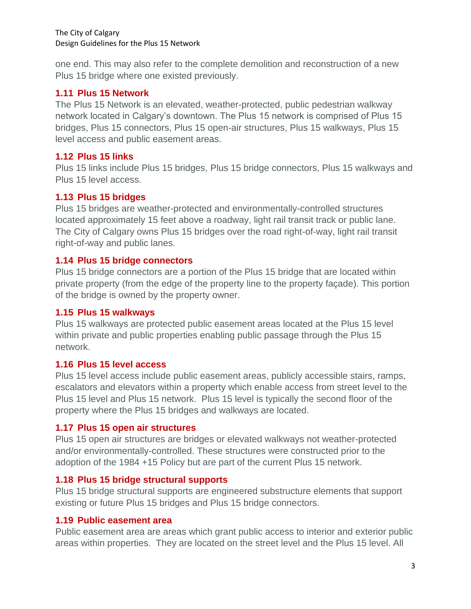one end. This may also refer to the complete demolition and reconstruction of a new Plus 15 bridge where one existed previously.

#### <span id="page-5-0"></span>**1.11 Plus 15 Network**

The Plus 15 Network is an elevated, weather-protected, public pedestrian walkway network located in Calgary's downtown. The Plus 15 network is comprised of Plus 15 bridges, Plus 15 connectors, Plus 15 open-air structures, Plus 15 walkways, Plus 15 level access and public easement areas.

#### <span id="page-5-1"></span>**1.12 Plus 15 links**

Plus 15 links include Plus 15 bridges, Plus 15 bridge connectors, Plus 15 walkways and Plus 15 level access.

#### <span id="page-5-2"></span>**1.13 Plus 15 bridges**

Plus 15 bridges are weather-protected and environmentally-controlled structures located approximately 15 feet above a roadway, light rail transit track or public lane. The City of Calgary owns Plus 15 bridges over the road right-of-way, light rail transit right-of-way and public lanes.

#### <span id="page-5-3"></span>**1.14 Plus 15 bridge connectors**

Plus 15 bridge connectors are a portion of the Plus 15 bridge that are located within private property (from the edge of the property line to the property façade). This portion of the bridge is owned by the property owner.

#### <span id="page-5-4"></span>**1.15 Plus 15 walkways**

Plus 15 walkways are protected public easement areas located at the Plus 15 level within private and public properties enabling public passage through the Plus 15 network.

#### <span id="page-5-5"></span>**1.16 Plus 15 level access**

Plus 15 level access include public easement areas, publicly accessible stairs, ramps, escalators and elevators within a property which enable access from street level to the Plus 15 level and Plus 15 network. Plus 15 level is typically the second floor of the property where the Plus 15 bridges and walkways are located.

#### <span id="page-5-6"></span>**1.17 Plus 15 open air structures**

Plus 15 open air structures are bridges or elevated walkways not weather-protected and/or environmentally-controlled. These structures were constructed prior to the adoption of the 1984 +15 Policy but are part of the current Plus 15 network.

#### <span id="page-5-7"></span>**1.18 Plus 15 bridge structural supports**

Plus 15 bridge structural supports are engineered substructure elements that support existing or future Plus 15 bridges and Plus 15 bridge connectors.

#### <span id="page-5-8"></span>**1.19 Public easement area**

Public easement area are areas which grant public access to interior and exterior public areas within properties. They are located on the street level and the Plus 15 level. All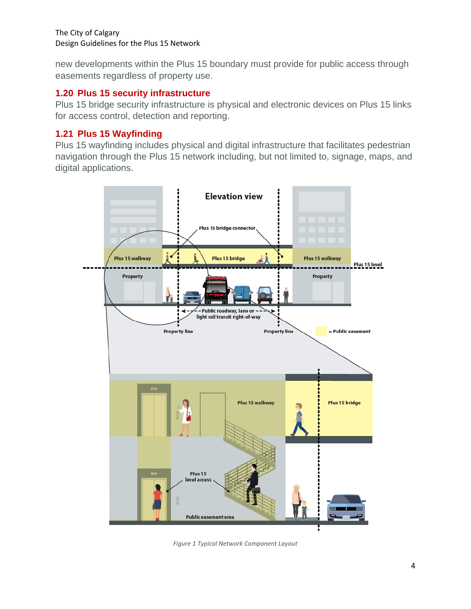new developments within the Plus 15 boundary must provide for public access through easements regardless of property use.

#### <span id="page-6-0"></span>**1.20 Plus 15 security infrastructure**

Plus 15 bridge security infrastructure is physical and electronic devices on Plus 15 links for access control, detection and reporting.

## <span id="page-6-1"></span>**1.21 Plus 15 Wayfinding**

Plus 15 wayfinding includes physical and digital infrastructure that facilitates pedestrian navigation through the Plus 15 network including, but not limited to, signage, maps, and digital applications.



*Figure 1 Typical Network Component Layout*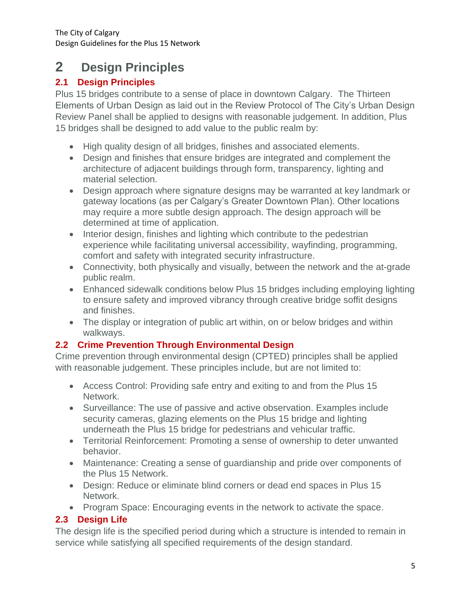# <span id="page-7-0"></span>**<sup>2</sup> Design Principles**

## <span id="page-7-1"></span>**2.1 Design Principles**

Plus 15 bridges contribute to a sense of place in downtown Calgary. The Thirteen Elements of Urban Design as laid out in the Review Protocol of The City's Urban Design Review Panel shall be applied to designs with reasonable judgement. In addition, Plus 15 bridges shall be designed to add value to the public realm by:

- High quality design of all bridges, finishes and associated elements.
- Design and finishes that ensure bridges are integrated and complement the architecture of adjacent buildings through form, transparency, lighting and material selection.
- Design approach where signature designs may be warranted at key landmark or gateway locations (as per Calgary's Greater Downtown Plan). Other locations may require a more subtle design approach. The design approach will be determined at time of application.
- Interior design, finishes and lighting which contribute to the pedestrian experience while facilitating universal accessibility, wayfinding, programming, comfort and safety with integrated security infrastructure.
- Connectivity, both physically and visually, between the network and the at-grade public realm.
- Enhanced sidewalk conditions below Plus 15 bridges including employing lighting to ensure safety and improved vibrancy through creative bridge soffit designs and finishes.
- The display or integration of public art within, on or below bridges and within walkways.

## <span id="page-7-2"></span>**2.2 Crime Prevention Through Environmental Design**

Crime prevention through environmental design (CPTED) principles shall be applied with reasonable judgement. These principles include, but are not limited to:

- Access Control: Providing safe entry and exiting to and from the Plus 15 Network.
- Surveillance: The use of passive and active observation. Examples include security cameras, glazing elements on the Plus 15 bridge and lighting underneath the Plus 15 bridge for pedestrians and vehicular traffic.
- Territorial Reinforcement: Promoting a sense of ownership to deter unwanted behavior.
- Maintenance: Creating a sense of guardianship and pride over components of the Plus 15 Network.
- Design: Reduce or eliminate blind corners or dead end spaces in Plus 15 Network.
- Program Space: Encouraging events in the network to activate the space.

## <span id="page-7-3"></span>**2.3 Design Life**

The design life is the specified period during which a structure is intended to remain in service while satisfying all specified requirements of the design standard.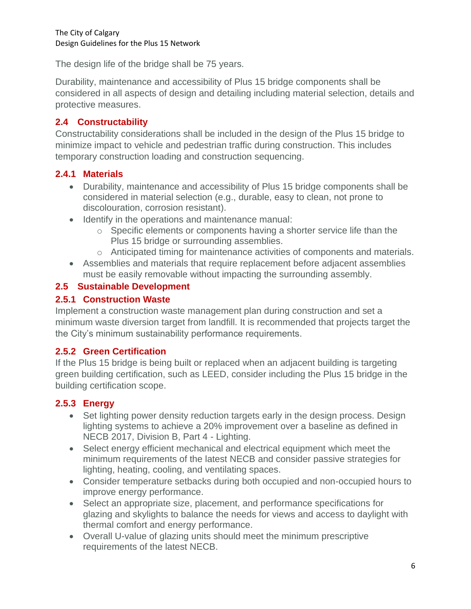The design life of the bridge shall be 75 years.

Durability, maintenance and accessibility of Plus 15 bridge components shall be considered in all aspects of design and detailing including material selection, details and protective measures.

## <span id="page-8-0"></span>**2.4 Constructability**

Constructability considerations shall be included in the design of the Plus 15 bridge to minimize impact to vehicle and pedestrian traffic during construction. This includes temporary construction loading and construction sequencing.

### **2.4.1 Materials**

- Durability, maintenance and accessibility of Plus 15 bridge components shall be considered in material selection (e.g., durable, easy to clean, not prone to discolouration, corrosion resistant).
- Identify in the operations and maintenance manual:
	- o Specific elements or components having a shorter service life than the Plus 15 bridge or surrounding assemblies.
	- o Anticipated timing for maintenance activities of components and materials.
- Assemblies and materials that require replacement before adjacent assemblies must be easily removable without impacting the surrounding assembly.

### <span id="page-8-1"></span>**2.5 Sustainable Development**

#### **2.5.1 Construction Waste**

Implement a construction waste management plan during construction and set a minimum waste diversion target from landfill. It is recommended that projects target the the City's minimum sustainability performance requirements.

### **2.5.2 Green Certification**

If the Plus 15 bridge is being built or replaced when an adjacent building is targeting green building certification, such as LEED, consider including the Plus 15 bridge in the building certification scope.

### **2.5.3 Energy**

- Set lighting power density reduction targets early in the design process. Design lighting systems to achieve a 20% improvement over a baseline as defined in NECB 2017, Division B, Part 4 - Lighting.
- Select energy efficient mechanical and electrical equipment which meet the minimum requirements of the latest NECB and consider passive strategies for lighting, heating, cooling, and ventilating spaces.
- Consider temperature setbacks during both occupied and non-occupied hours to improve energy performance.
- Select an appropriate size, placement, and performance specifications for glazing and skylights to balance the needs for views and access to daylight with thermal comfort and energy performance.
- Overall U-value of glazing units should meet the minimum prescriptive requirements of the latest NECB.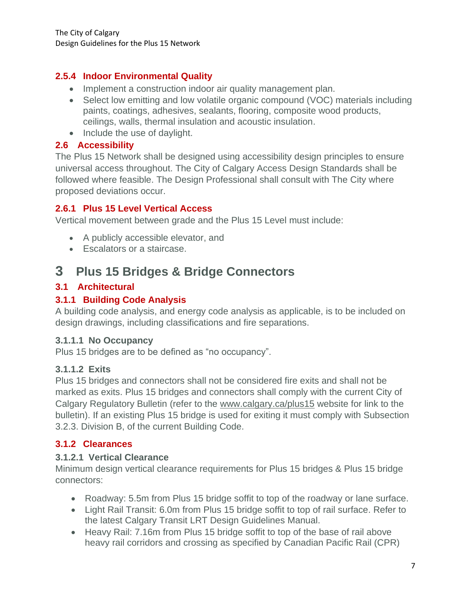## **2.5.4 Indoor Environmental Quality**

- Implement a construction indoor air quality management plan.
- Select low emitting and low volatile organic compound (VOC) materials including paints, coatings, adhesives, sealants, flooring, composite wood products, ceilings, walls, thermal insulation and acoustic insulation.
- Include the use of daylight.

#### <span id="page-9-0"></span>**2.6 Accessibility**

The Plus 15 Network shall be designed using accessibility design principles to ensure universal access throughout. The City of Calgary Access Design Standards shall be followed where feasible. The Design Professional shall consult with The City where proposed deviations occur.

#### **2.6.1 Plus 15 Level Vertical Access**

Vertical movement between grade and the Plus 15 Level must include:

- A publicly accessible elevator, and
- <span id="page-9-1"></span>• Escalators or a staircase.

## **3 Plus 15 Bridges & Bridge Connectors**

#### <span id="page-9-2"></span>**3.1 Architectural**

#### **3.1.1 Building Code Analysis**

A building code analysis, and energy code analysis as applicable, is to be included on design drawings, including classifications and fire separations.

#### **3.1.1.1 No Occupancy**

Plus 15 bridges are to be defined as "no occupancy".

#### **3.1.1.2 Exits**

Plus 15 bridges and connectors shall not be considered fire exits and shall not be marked as exits. Plus 15 bridges and connectors shall comply with the current City of Calgary Regulatory Bulletin (refer to the [www.calgary.ca/plus15](http://www.calgary.ca/plus15) website for link to the bulletin). If an existing Plus 15 bridge is used for exiting it must comply with Subsection 3.2.3. Division B, of the current Building Code.

## **3.1.2 Clearances**

#### **3.1.2.1 Vertical Clearance**

Minimum design vertical clearance requirements for Plus 15 bridges & Plus 15 bridge connectors:

- Roadway: 5.5m from Plus 15 bridge soffit to top of the roadway or lane surface.
- Light Rail Transit: 6.0m from Plus 15 bridge soffit to top of rail surface. Refer to the latest Calgary Transit LRT Design Guidelines Manual.
- Heavy Rail: 7.16m from Plus 15 bridge soffit to top of the base of rail above heavy rail corridors and crossing as specified by Canadian Pacific Rail (CPR)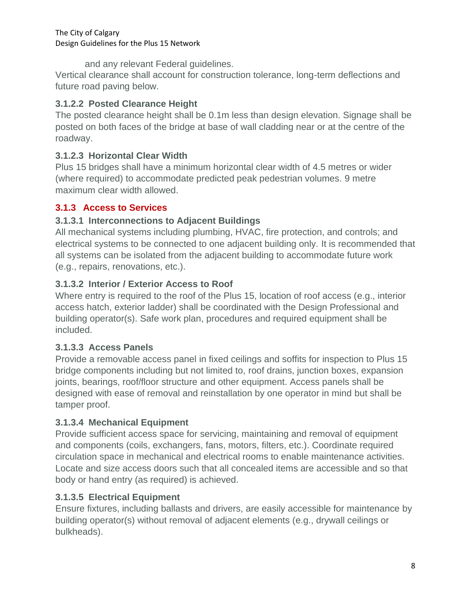and any relevant Federal guidelines.

Vertical clearance shall account for construction tolerance, long-term deflections and future road paving below.

## **3.1.2.2 Posted Clearance Height**

The posted clearance height shall be 0.1m less than design elevation. Signage shall be posted on both faces of the bridge at base of wall cladding near or at the centre of the roadway.

## **3.1.2.3 Horizontal Clear Width**

Plus 15 bridges shall have a minimum horizontal clear width of 4.5 metres or wider (where required) to accommodate predicted peak pedestrian volumes. 9 metre maximum clear width allowed.

## **3.1.3 Access to Services**

### **3.1.3.1 Interconnections to Adjacent Buildings**

All mechanical systems including plumbing, HVAC, fire protection, and controls; and electrical systems to be connected to one adjacent building only. It is recommended that all systems can be isolated from the adjacent building to accommodate future work (e.g., repairs, renovations, etc.).

### **3.1.3.2 Interior / Exterior Access to Roof**

Where entry is required to the roof of the Plus 15, location of roof access (e.g., interior access hatch, exterior ladder) shall be coordinated with the Design Professional and building operator(s). Safe work plan, procedures and required equipment shall be included.

### **3.1.3.3 Access Panels**

Provide a removable access panel in fixed ceilings and soffits for inspection to Plus 15 bridge components including but not limited to, roof drains, junction boxes, expansion joints, bearings, roof/floor structure and other equipment. Access panels shall be designed with ease of removal and reinstallation by one operator in mind but shall be tamper proof.

### **3.1.3.4 Mechanical Equipment**

Provide sufficient access space for servicing, maintaining and removal of equipment and components (coils, exchangers, fans, motors, filters, etc.). Coordinate required circulation space in mechanical and electrical rooms to enable maintenance activities. Locate and size access doors such that all concealed items are accessible and so that body or hand entry (as required) is achieved.

## **3.1.3.5 Electrical Equipment**

Ensure fixtures, including ballasts and drivers, are easily accessible for maintenance by building operator(s) without removal of adjacent elements (e.g., drywall ceilings or bulkheads).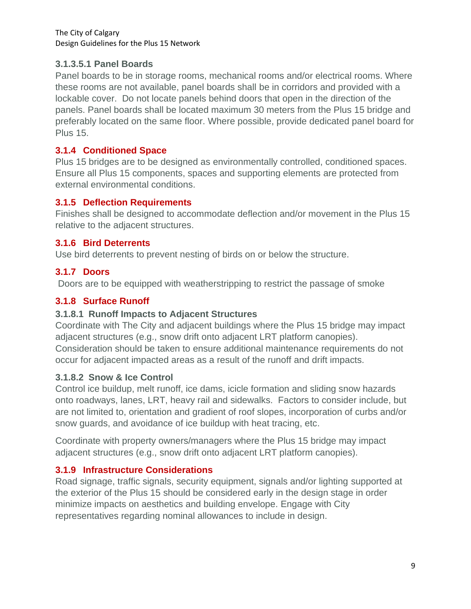#### **3.1.3.5.1 Panel Boards**

Panel boards to be in storage rooms, mechanical rooms and/or electrical rooms. Where these rooms are not available, panel boards shall be in corridors and provided with a lockable cover. Do not locate panels behind doors that open in the direction of the panels. Panel boards shall be located maximum 30 meters from the Plus 15 bridge and preferably located on the same floor. Where possible, provide dedicated panel board for Plus 15.

### **3.1.4 Conditioned Space**

Plus 15 bridges are to be designed as environmentally controlled, conditioned spaces. Ensure all Plus 15 components, spaces and supporting elements are protected from external environmental conditions.

#### **3.1.5 Deflection Requirements**

Finishes shall be designed to accommodate deflection and/or movement in the Plus 15 relative to the adjacent structures.

### **3.1.6 Bird Deterrents**

Use bird deterrents to prevent nesting of birds on or below the structure.

### **3.1.7 Doors**

Doors are to be equipped with weatherstripping to restrict the passage of smoke

## **3.1.8 Surface Runoff**

### **3.1.8.1 Runoff Impacts to Adjacent Structures**

Coordinate with The City and adjacent buildings where the Plus 15 bridge may impact adjacent structures (e.g., snow drift onto adjacent LRT platform canopies). Consideration should be taken to ensure additional maintenance requirements do not occur for adjacent impacted areas as a result of the runoff and drift impacts.

### **3.1.8.2 Snow & Ice Control**

Control ice buildup, melt runoff, ice dams, icicle formation and sliding snow hazards onto roadways, lanes, LRT, heavy rail and sidewalks. Factors to consider include, but are not limited to, orientation and gradient of roof slopes, incorporation of curbs and/or snow guards, and avoidance of ice buildup with heat tracing, etc.

Coordinate with property owners/managers where the Plus 15 bridge may impact adjacent structures (e.g., snow drift onto adjacent LRT platform canopies).

### **3.1.9 Infrastructure Considerations**

Road signage, traffic signals, security equipment, signals and/or lighting supported at the exterior of the Plus 15 should be considered early in the design stage in order minimize impacts on aesthetics and building envelope. Engage with City representatives regarding nominal allowances to include in design.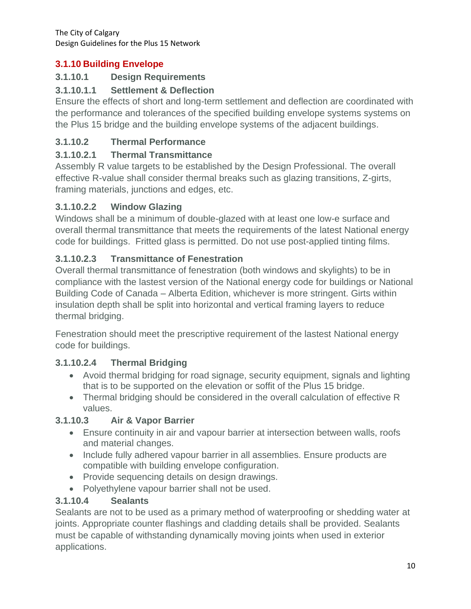## **3.1.10 Building Envelope**

## **3.1.10.1 Design Requirements**

## **3.1.10.1.1 Settlement & Deflection**

Ensure the effects of short and long-term settlement and deflection are coordinated with the performance and tolerances of the specified building envelope systems systems on the Plus 15 bridge and the building envelope systems of the adjacent buildings.

## **3.1.10.2 Thermal Performance**

## **3.1.10.2.1 Thermal Transmittance**

Assembly R value targets to be established by the Design Professional. The overall effective R-value shall consider thermal breaks such as glazing transitions, Z-girts, framing materials, junctions and edges, etc.

## **3.1.10.2.2 Window Glazing**

Windows shall be a minimum of double-glazed with at least one low-e surface and overall thermal transmittance that meets the requirements of the latest National energy code for buildings. Fritted glass is permitted. Do not use post-applied tinting films.

## **3.1.10.2.3 Transmittance of Fenestration**

Overall thermal transmittance of fenestration (both windows and skylights) to be in compliance with the lastest version of the National energy code for buildings or National Building Code of Canada – Alberta Edition, whichever is more stringent. Girts within insulation depth shall be split into horizontal and vertical framing layers to reduce thermal bridging.

Fenestration should meet the prescriptive requirement of the lastest National energy code for buildings.

## **3.1.10.2.4 Thermal Bridging**

- Avoid thermal bridging for road signage, security equipment, signals and lighting that is to be supported on the elevation or soffit of the Plus 15 bridge.
- Thermal bridging should be considered in the overall calculation of effective R values.

### **3.1.10.3 Air & Vapor Barrier**

- Ensure continuity in air and vapour barrier at intersection between walls, roofs and material changes.
- Include fully adhered vapour barrier in all assemblies. Ensure products are compatible with building envelope configuration.
- Provide sequencing details on design drawings.
- Polyethylene vapour barrier shall not be used.

### **3.1.10.4 Sealants**

Sealants are not to be used as a primary method of waterproofing or shedding water at joints. Appropriate counter flashings and cladding details shall be provided. Sealants must be capable of withstanding dynamically moving joints when used in exterior applications.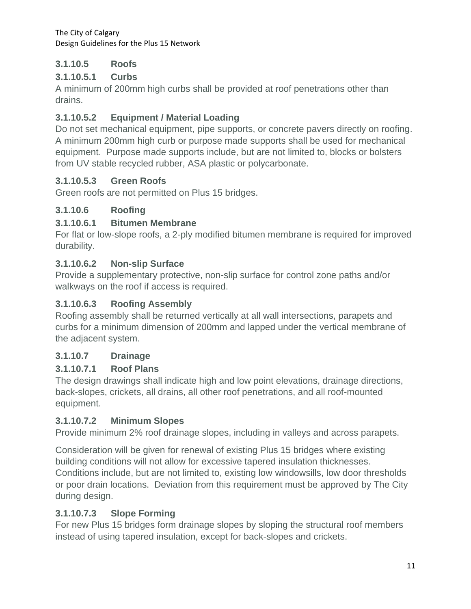## **3.1.10.5 Roofs**

## **3.1.10.5.1 Curbs**

A minimum of 200mm high curbs shall be provided at roof penetrations other than drains.

## **3.1.10.5.2 Equipment / Material Loading**

Do not set mechanical equipment, pipe supports, or concrete pavers directly on roofing. A minimum 200mm high curb or purpose made supports shall be used for mechanical equipment. Purpose made supports include, but are not limited to, blocks or bolsters from UV stable recycled rubber, ASA plastic or polycarbonate.

## **3.1.10.5.3 Green Roofs**

Green roofs are not permitted on Plus 15 bridges.

### **3.1.10.6 Roofing**

## **3.1.10.6.1 Bitumen Membrane**

For flat or low-slope roofs, a 2-ply modified bitumen membrane is required for improved durability.

## **3.1.10.6.2 Non-slip Surface**

Provide a supplementary protective, non-slip surface for control zone paths and/or walkways on the roof if access is required.

## **3.1.10.6.3 Roofing Assembly**

Roofing assembly shall be returned vertically at all wall intersections, parapets and curbs for a minimum dimension of 200mm and lapped under the vertical membrane of the adjacent system.

## **3.1.10.7 Drainage**

## **3.1.10.7.1 Roof Plans**

The design drawings shall indicate high and low point elevations, drainage directions, back-slopes, crickets, all drains, all other roof penetrations, and all roof-mounted equipment.

### **3.1.10.7.2 Minimum Slopes**

Provide minimum 2% roof drainage slopes, including in valleys and across parapets.

Consideration will be given for renewal of existing Plus 15 bridges where existing building conditions will not allow for excessive tapered insulation thicknesses. Conditions include, but are not limited to, existing low windowsills, low door thresholds or poor drain locations. Deviation from this requirement must be approved by The City during design.

## **3.1.10.7.3 Slope Forming**

For new Plus 15 bridges form drainage slopes by sloping the structural roof members instead of using tapered insulation, except for back-slopes and crickets.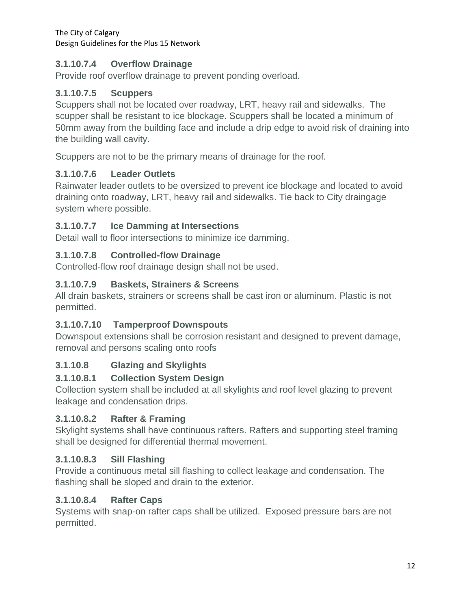## **3.1.10.7.4 Overflow Drainage**

Provide roof overflow drainage to prevent ponding overload.

### **3.1.10.7.5 Scuppers**

Scuppers shall not be located over roadway, LRT, heavy rail and sidewalks. The scupper shall be resistant to ice blockage. Scuppers shall be located a minimum of 50mm away from the building face and include a drip edge to avoid risk of draining into the building wall cavity.

Scuppers are not to be the primary means of drainage for the roof.

### **3.1.10.7.6 Leader Outlets**

Rainwater leader outlets to be oversized to prevent ice blockage and located to avoid draining onto roadway, LRT, heavy rail and sidewalks. Tie back to City draingage system where possible.

### **3.1.10.7.7 Ice Damming at Intersections**

Detail wall to floor intersections to minimize ice damming.

## **3.1.10.7.8 Controlled-flow Drainage**

Controlled-flow roof drainage design shall not be used.

## **3.1.10.7.9 Baskets, Strainers & Screens**

All drain baskets, strainers or screens shall be cast iron or aluminum. Plastic is not permitted.

### **3.1.10.7.10 Tamperproof Downspouts**

Downspout extensions shall be corrosion resistant and designed to prevent damage, removal and persons scaling onto roofs

### **3.1.10.8 Glazing and Skylights**

### **3.1.10.8.1 Collection System Design**

Collection system shall be included at all skylights and roof level glazing to prevent leakage and condensation drips.

### **3.1.10.8.2 Rafter & Framing**

Skylight systems shall have continuous rafters. Rafters and supporting steel framing shall be designed for differential thermal movement.

### **3.1.10.8.3 Sill Flashing**

Provide a continuous metal sill flashing to collect leakage and condensation. The flashing shall be sloped and drain to the exterior.

### **3.1.10.8.4 Rafter Caps**

Systems with snap-on rafter caps shall be utilized. Exposed pressure bars are not permitted.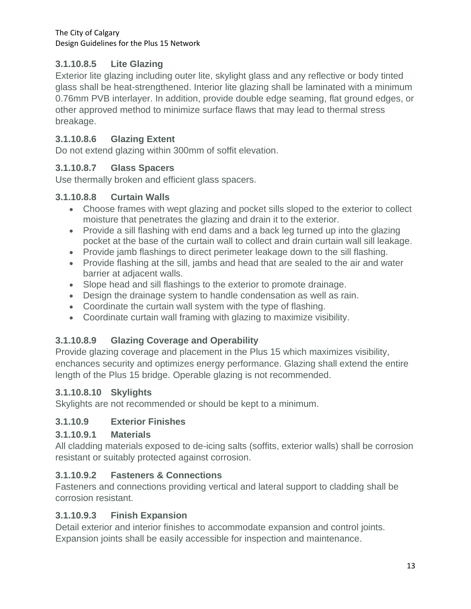## **3.1.10.8.5 Lite Glazing**

Exterior lite glazing including outer lite, skylight glass and any reflective or body tinted glass shall be heat-strengthened. Interior lite glazing shall be laminated with a minimum 0.76mm PVB interlayer. In addition, provide double edge seaming, flat ground edges, or other approved method to minimize surface flaws that may lead to thermal stress breakage.

### **3.1.10.8.6 Glazing Extent**

Do not extend glazing within 300mm of soffit elevation.

#### **3.1.10.8.7 Glass Spacers**

Use thermally broken and efficient glass spacers.

#### **3.1.10.8.8 Curtain Walls**

- Choose frames with wept glazing and pocket sills sloped to the exterior to collect moisture that penetrates the glazing and drain it to the exterior.
- Provide a sill flashing with end dams and a back leg turned up into the glazing pocket at the base of the curtain wall to collect and drain curtain wall sill leakage.
- Provide jamb flashings to direct perimeter leakage down to the sill flashing.
- Provide flashing at the sill, jambs and head that are sealed to the air and water barrier at adjacent walls.
- Slope head and sill flashings to the exterior to promote drainage.
- Design the drainage system to handle condensation as well as rain.
- Coordinate the curtain wall system with the type of flashing.
- Coordinate curtain wall framing with glazing to maximize visibility.

### **3.1.10.8.9 Glazing Coverage and Operability**

Provide glazing coverage and placement in the Plus 15 which maximizes visibility, enchances security and optimizes energy performance. Glazing shall extend the entire length of the Plus 15 bridge. Operable glazing is not recommended.

#### **3.1.10.8.10 Skylights**

Skylights are not recommended or should be kept to a minimum.

### **3.1.10.9 Exterior Finishes**

#### **3.1.10.9.1 Materials**

All cladding materials exposed to de-icing salts (soffits, exterior walls) shall be corrosion resistant or suitably protected against corrosion.

### **3.1.10.9.2 Fasteners & Connections**

Fasteners and connections providing vertical and lateral support to cladding shall be corrosion resistant.

#### **3.1.10.9.3 Finish Expansion**

Detail exterior and interior finishes to accommodate expansion and control joints. Expansion joints shall be easily accessible for inspection and maintenance.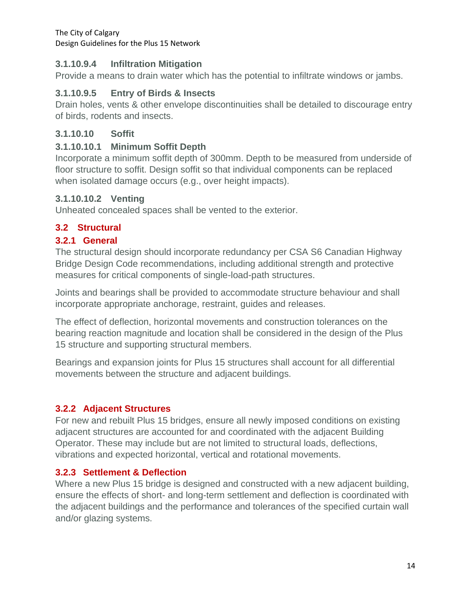#### **3.1.10.9.4 Infiltration Mitigation**

Provide a means to drain water which has the potential to infiltrate windows or jambs.

#### **3.1.10.9.5 Entry of Birds & Insects**

Drain holes, vents & other envelope discontinuities shall be detailed to discourage entry of birds, rodents and insects.

#### **3.1.10.10 Soffit**

#### **3.1.10.10.1 Minimum Soffit Depth**

Incorporate a minimum soffit depth of 300mm. Depth to be measured from underside of floor structure to soffit. Design soffit so that individual components can be replaced when isolated damage occurs (e.g., over height impacts).

#### **3.1.10.10.2 Venting**

Unheated concealed spaces shall be vented to the exterior.

#### <span id="page-16-0"></span>**3.2 Structural**

#### **3.2.1 General**

The structural design should incorporate redundancy per CSA S6 Canadian Highway Bridge Design Code recommendations, including additional strength and protective measures for critical components of single-load-path structures.

Joints and bearings shall be provided to accommodate structure behaviour and shall incorporate appropriate anchorage, restraint, guides and releases.

The effect of deflection, horizontal movements and construction tolerances on the bearing reaction magnitude and location shall be considered in the design of the Plus 15 structure and supporting structural members.

Bearings and expansion joints for Plus 15 structures shall account for all differential movements between the structure and adjacent buildings.

### **3.2.2 Adjacent Structures**

For new and rebuilt Plus 15 bridges, ensure all newly imposed conditions on existing adjacent structures are accounted for and coordinated with the adjacent Building Operator. These may include but are not limited to structural loads, deflections, vibrations and expected horizontal, vertical and rotational movements.

#### **3.2.3 Settlement & Deflection**

Where a new Plus 15 bridge is designed and constructed with a new adjacent building, ensure the effects of short- and long-term settlement and deflection is coordinated with the adjacent buildings and the performance and tolerances of the specified curtain wall and/or glazing systems.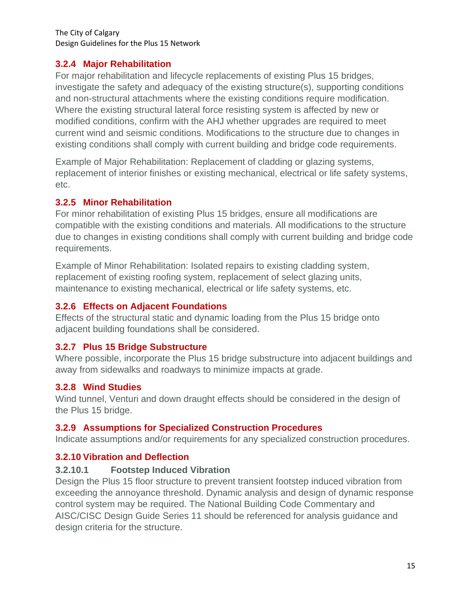#### **3.2.4 Major Rehabilitation**

For major rehabilitation and lifecycle replacements of existing Plus 15 bridges, investigate the safety and adequacy of the existing structure(s), supporting conditions and non-structural attachments where the existing conditions require modification. Where the existing structural lateral force resisting system is affected by new or modified conditions, confirm with the AHJ whether upgrades are required to meet current wind and seismic conditions. Modifications to the structure due to changes in existing conditions shall comply with current building and bridge code requirements.

Example of Major Rehabilitation: Replacement of cladding or glazing systems, replacement of interior finishes or existing mechanical, electrical or life safety systems, etc.

#### **3.2.5 Minor Rehabilitation**

For minor rehabilitation of existing Plus 15 bridges, ensure all modifications are compatible with the existing conditions and materials. All modifications to the structure due to changes in existing conditions shall comply with current building and bridge code requirements.

Example of Minor Rehabilitation: Isolated repairs to existing cladding system, replacement of existing roofing system, replacement of select glazing units, maintenance to existing mechanical, electrical or life safety systems, etc.

#### **3.2.6 Effects on Adjacent Foundations**

Effects of the structural static and dynamic loading from the Plus 15 bridge onto adjacent building foundations shall be considered.

### **3.2.7 Plus 15 Bridge Substructure**

Where possible, incorporate the Plus 15 bridge substructure into adjacent buildings and away from sidewalks and roadways to minimize impacts at grade.

### **3.2.8 Wind Studies**

Wind tunnel, Venturi and down draught effects should be considered in the design of the Plus 15 bridge.

#### **3.2.9 Assumptions for Specialized Construction Procedures**

Indicate assumptions and/or requirements for any specialized construction procedures.

### **3.2.10 Vibration and Deflection**

#### **3.2.10.1 Footstep Induced Vibration**

Design the Plus 15 floor structure to prevent transient footstep induced vibration from exceeding the annoyance threshold. Dynamic analysis and design of dynamic response control system may be required. The National Building Code Commentary and AISC/CISC Design Guide Series 11 should be referenced for analysis guidance and design criteria for the structure.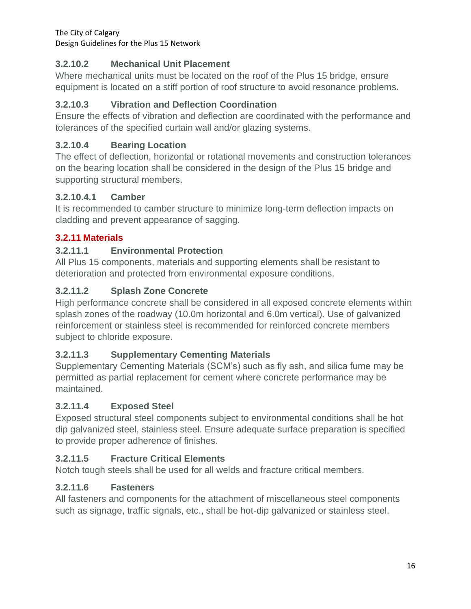## **3.2.10.2 Mechanical Unit Placement**

Where mechanical units must be located on the roof of the Plus 15 bridge, ensure equipment is located on a stiff portion of roof structure to avoid resonance problems.

## **3.2.10.3 Vibration and Deflection Coordination**

Ensure the effects of vibration and deflection are coordinated with the performance and tolerances of the specified curtain wall and/or glazing systems.

## **3.2.10.4 Bearing Location**

The effect of deflection, horizontal or rotational movements and construction tolerances on the bearing location shall be considered in the design of the Plus 15 bridge and supporting structural members.

### **3.2.10.4.1 Camber**

It is recommended to camber structure to minimize long-term deflection impacts on cladding and prevent appearance of sagging.

## **3.2.11 Materials**

### **3.2.11.1 Environmental Protection**

All Plus 15 components, materials and supporting elements shall be resistant to deterioration and protected from environmental exposure conditions.

### **3.2.11.2 Splash Zone Concrete**

High performance concrete shall be considered in all exposed concrete elements within splash zones of the roadway (10.0m horizontal and 6.0m vertical). Use of galvanized reinforcement or stainless steel is recommended for reinforced concrete members subject to chloride exposure.

### **3.2.11.3 Supplementary Cementing Materials**

Supplementary Cementing Materials (SCM's) such as fly ash, and silica fume may be permitted as partial replacement for cement where concrete performance may be maintained.

### **3.2.11.4 Exposed Steel**

Exposed structural steel components subject to environmental conditions shall be hot dip galvanized steel, stainless steel. Ensure adequate surface preparation is specified to provide proper adherence of finishes.

### **3.2.11.5 Fracture Critical Elements**

Notch tough steels shall be used for all welds and fracture critical members.

### **3.2.11.6 Fasteners**

All fasteners and components for the attachment of miscellaneous steel components such as signage, traffic signals, etc., shall be hot-dip galvanized or stainless steel.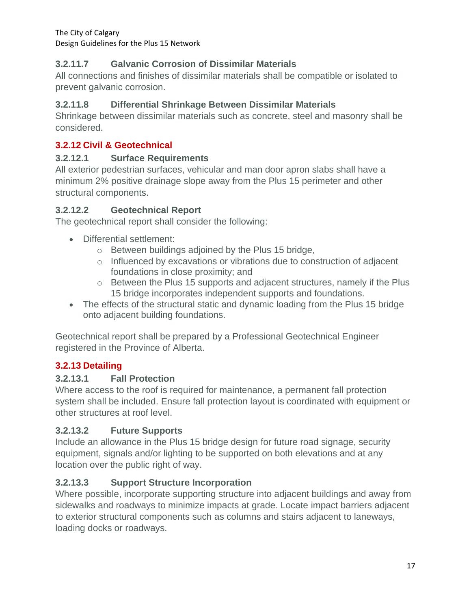## **3.2.11.7 Galvanic Corrosion of Dissimilar Materials**

All connections and finishes of dissimilar materials shall be compatible or isolated to prevent galvanic corrosion.

## **3.2.11.8 Differential Shrinkage Between Dissimilar Materials**

Shrinkage between dissimilar materials such as concrete, steel and masonry shall be considered.

## **3.2.12 Civil & Geotechnical**

#### **3.2.12.1 Surface Requirements**

All exterior pedestrian surfaces, vehicular and man door apron slabs shall have a minimum 2% positive drainage slope away from the Plus 15 perimeter and other structural components.

#### **3.2.12.2 Geotechnical Report**

The geotechnical report shall consider the following:

- Differential settlement:
	- o Between buildings adjoined by the Plus 15 bridge,
	- $\circ$  Influenced by excavations or vibrations due to construction of adjacent foundations in close proximity; and
	- $\circ$  Between the Plus 15 supports and adjacent structures, namely if the Plus 15 bridge incorporates independent supports and foundations.
- The effects of the structural static and dynamic loading from the Plus 15 bridge onto adjacent building foundations.

Geotechnical report shall be prepared by a Professional Geotechnical Engineer registered in the Province of Alberta.

### **3.2.13 Detailing**

### **3.2.13.1 Fall Protection**

Where access to the roof is required for maintenance, a permanent fall protection system shall be included. Ensure fall protection layout is coordinated with equipment or other structures at roof level.

### **3.2.13.2 Future Supports**

Include an allowance in the Plus 15 bridge design for future road signage, security equipment, signals and/or lighting to be supported on both elevations and at any location over the public right of way.

### **3.2.13.3 Support Structure Incorporation**

Where possible, incorporate supporting structure into adjacent buildings and away from sidewalks and roadways to minimize impacts at grade. Locate impact barriers adjacent to exterior structural components such as columns and stairs adjacent to laneways, loading docks or roadways.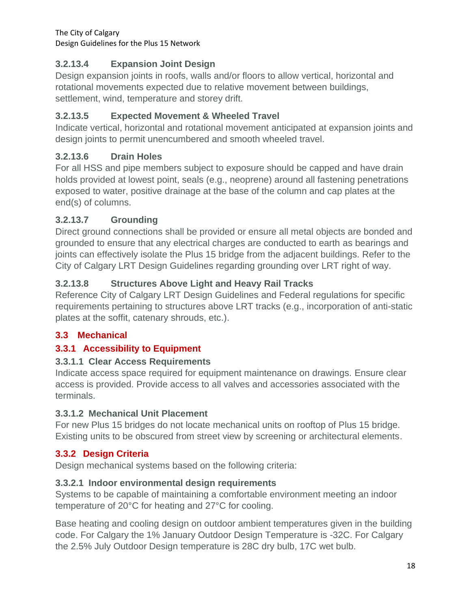## **3.2.13.4 Expansion Joint Design**

Design expansion joints in roofs, walls and/or floors to allow vertical, horizontal and rotational movements expected due to relative movement between buildings, settlement, wind, temperature and storey drift.

## **3.2.13.5 Expected Movement & Wheeled Travel**

Indicate vertical, horizontal and rotational movement anticipated at expansion joints and design joints to permit unencumbered and smooth wheeled travel.

## **3.2.13.6 Drain Holes**

For all HSS and pipe members subject to exposure should be capped and have drain holds provided at lowest point, seals (e.g., neoprene) around all fastening penetrations exposed to water, positive drainage at the base of the column and cap plates at the end(s) of columns.

### **3.2.13.7 Grounding**

Direct ground connections shall be provided or ensure all metal objects are bonded and grounded to ensure that any electrical charges are conducted to earth as bearings and joints can effectively isolate the Plus 15 bridge from the adjacent buildings. Refer to the City of Calgary LRT Design Guidelines regarding grounding over LRT right of way.

## **3.2.13.8 Structures Above Light and Heavy Rail Tracks**

Reference City of Calgary LRT Design Guidelines and Federal regulations for specific requirements pertaining to structures above LRT tracks (e.g., incorporation of anti-static plates at the soffit, catenary shrouds, etc.).

### <span id="page-20-0"></span>**3.3 Mechanical**

### **3.3.1 Accessibility to Equipment**

### **3.3.1.1 Clear Access Requirements**

Indicate access space required for equipment maintenance on drawings. Ensure clear access is provided. Provide access to all valves and accessories associated with the terminals.

#### **3.3.1.2 Mechanical Unit Placement**

For new Plus 15 bridges do not locate mechanical units on rooftop of Plus 15 bridge. Existing units to be obscured from street view by screening or architectural elements.

### **3.3.2 Design Criteria**

Design mechanical systems based on the following criteria:

### **3.3.2.1 Indoor environmental design requirements**

Systems to be capable of maintaining a comfortable environment meeting an indoor temperature of 20°C for heating and 27°C for cooling.

Base heating and cooling design on outdoor ambient temperatures given in the building code. For Calgary the 1% January Outdoor Design Temperature is -32C. For Calgary the 2.5% July Outdoor Design temperature is 28C dry bulb, 17C wet bulb.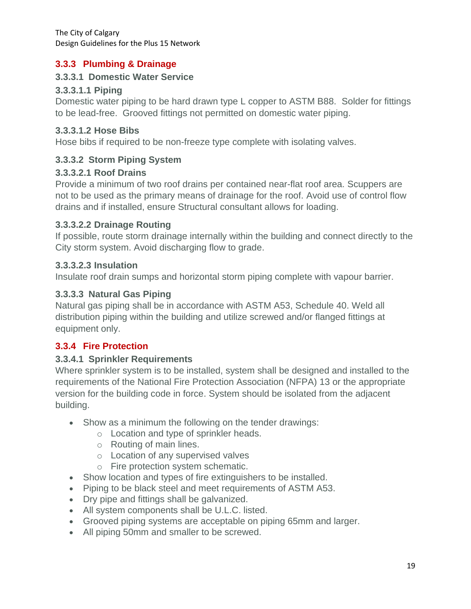#### **3.3.3 Plumbing & Drainage**

#### **3.3.3.1 Domestic Water Service**

#### **3.3.3.1.1 Piping**

Domestic water piping to be hard drawn type L copper to ASTM B88. Solder for fittings to be lead-free. Grooved fittings not permitted on domestic water piping.

#### **3.3.3.1.2 Hose Bibs**

Hose bibs if required to be non-freeze type complete with isolating valves.

#### **3.3.3.2 Storm Piping System**

#### **3.3.3.2.1 Roof Drains**

Provide a minimum of two roof drains per contained near-flat roof area. Scuppers are not to be used as the primary means of drainage for the roof. Avoid use of control flow drains and if installed, ensure Structural consultant allows for loading.

#### **3.3.3.2.2 Drainage Routing**

If possible, route storm drainage internally within the building and connect directly to the City storm system. Avoid discharging flow to grade.

#### **3.3.3.2.3 Insulation**

Insulate roof drain sumps and horizontal storm piping complete with vapour barrier.

#### **3.3.3.3 Natural Gas Piping**

Natural gas piping shall be in accordance with ASTM A53, Schedule 40. Weld all distribution piping within the building and utilize screwed and/or flanged fittings at equipment only.

#### **3.3.4 Fire Protection**

#### **3.3.4.1 Sprinkler Requirements**

Where sprinkler system is to be installed, system shall be designed and installed to the requirements of the National Fire Protection Association (NFPA) 13 or the appropriate version for the building code in force. System should be isolated from the adjacent building.

- Show as a minimum the following on the tender drawings:
	- o Location and type of sprinkler heads.
	- o Routing of main lines.
	- o Location of any supervised valves
	- o Fire protection system schematic.
- Show location and types of fire extinguishers to be installed.
- Piping to be black steel and meet requirements of ASTM A53.
- Dry pipe and fittings shall be galvanized.
- All system components shall be U.L.C. listed.
- Grooved piping systems are acceptable on piping 65mm and larger.
- All piping 50mm and smaller to be screwed.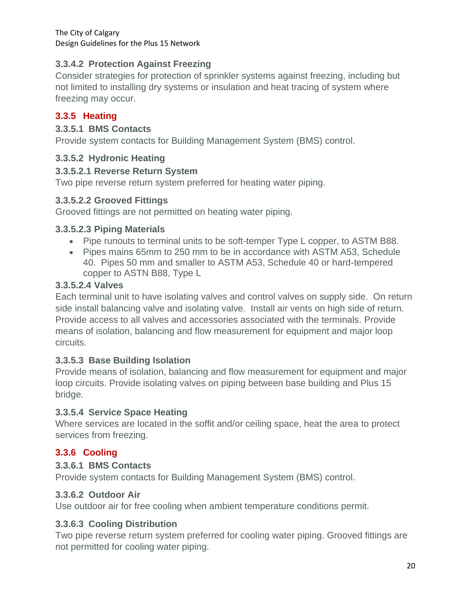### **3.3.4.2 Protection Against Freezing**

Consider strategies for protection of sprinkler systems against freezing, including but not limited to installing dry systems or insulation and heat tracing of system where freezing may occur.

## **3.3.5 Heating**

#### **3.3.5.1 BMS Contacts**

Provide system contacts for Building Management System (BMS) control.

### **3.3.5.2 Hydronic Heating**

#### **3.3.5.2.1 Reverse Return System**

Two pipe reverse return system preferred for heating water piping.

#### **3.3.5.2.2 Grooved Fittings**

Grooved fittings are not permitted on heating water piping.

#### **3.3.5.2.3 Piping Materials**

- Pipe runouts to terminal units to be soft-temper Type L copper, to ASTM B88.
- Pipes mains 65mm to 250 mm to be in accordance with ASTM A53, Schedule 40. Pipes 50 mm and smaller to ASTM A53, Schedule 40 or hard-tempered copper to ASTN B88, Type L

#### **3.3.5.2.4 Valves**

Each terminal unit to have isolating valves and control valves on supply side. On return side install balancing valve and isolating valve. Install air vents on high side of return. Provide access to all valves and accessories associated with the terminals. Provide means of isolation, balancing and flow measurement for equipment and major loop circuits.

### **3.3.5.3 Base Building Isolation**

Provide means of isolation, balancing and flow measurement for equipment and major loop circuits. Provide isolating valves on piping between base building and Plus 15 bridge.

### **3.3.5.4 Service Space Heating**

Where services are located in the soffit and/or ceiling space, heat the area to protect services from freezing.

## **3.3.6 Cooling**

### **3.3.6.1 BMS Contacts**

Provide system contacts for Building Management System (BMS) control.

### **3.3.6.2 Outdoor Air**

Use outdoor air for free cooling when ambient temperature conditions permit.

### **3.3.6.3 Cooling Distribution**

Two pipe reverse return system preferred for cooling water piping. Grooved fittings are not permitted for cooling water piping.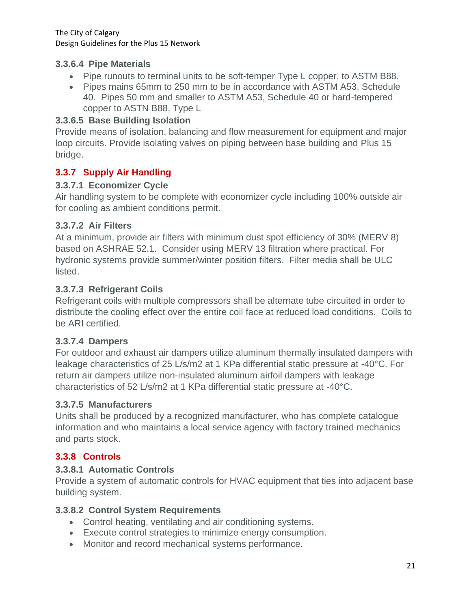#### **3.3.6.4 Pipe Materials**

- Pipe runouts to terminal units to be soft-temper Type L copper, to ASTM B88.
- Pipes mains 65mm to 250 mm to be in accordance with ASTM A53, Schedule 40. Pipes 50 mm and smaller to ASTM A53, Schedule 40 or hard-tempered copper to ASTN B88, Type L

#### **3.3.6.5 Base Building Isolation**

Provide means of isolation, balancing and flow measurement for equipment and major loop circuits. Provide isolating valves on piping between base building and Plus 15 bridge.

#### **3.3.7 Supply Air Handling**

#### **3.3.7.1 Economizer Cycle**

Air handling system to be complete with economizer cycle including 100% outside air for cooling as ambient conditions permit.

#### **3.3.7.2 Air Filters**

At a minimum, provide air filters with minimum dust spot efficiency of 30% (MERV 8) based on ASHRAE 52.1. Consider using MERV 13 filtration where practical. For hydronic systems provide summer/winter position filters. Filter media shall be ULC listed.

#### **3.3.7.3 Refrigerant Coils**

Refrigerant coils with multiple compressors shall be alternate tube circuited in order to distribute the cooling effect over the entire coil face at reduced load conditions. Coils to be ARI certified.

#### **3.3.7.4 Dampers**

For outdoor and exhaust air dampers utilize aluminum thermally insulated dampers with leakage characteristics of 25 L/s/m2 at 1 KPa differential static pressure at -40°C. For return air dampers utilize non-insulated aluminum airfoil dampers with leakage characteristics of 52 L/s/m2 at 1 KPa differential static pressure at -40°C.

#### **3.3.7.5 Manufacturers**

Units shall be produced by a recognized manufacturer, who has complete catalogue information and who maintains a local service agency with factory trained mechanics and parts stock.

#### **3.3.8 Controls**

#### **3.3.8.1 Automatic Controls**

Provide a system of automatic controls for HVAC equipment that ties into adjacent base building system.

#### **3.3.8.2 Control System Requirements**

- Control heating, ventilating and air conditioning systems.
- Execute control strategies to minimize energy consumption.
- Monitor and record mechanical systems performance.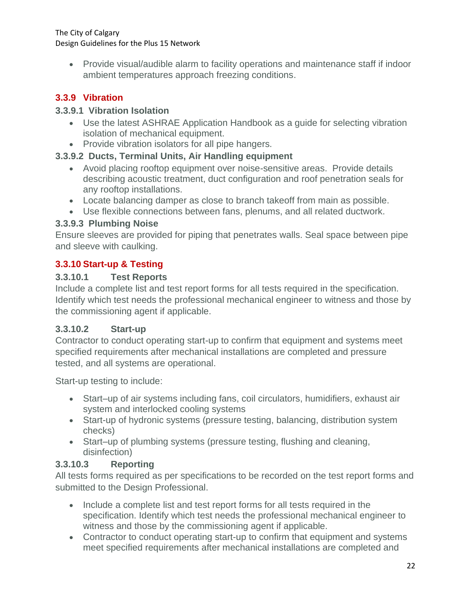• Provide visual/audible alarm to facility operations and maintenance staff if indoor ambient temperatures approach freezing conditions.

## **3.3.9 Vibration**

#### **3.3.9.1 Vibration Isolation**

- Use the latest ASHRAE Application Handbook as a guide for selecting vibration isolation of mechanical equipment.
- Provide vibration isolators for all pipe hangers.

### **3.3.9.2 Ducts, Terminal Units, Air Handling equipment**

- Avoid placing rooftop equipment over noise-sensitive areas. Provide details describing acoustic treatment, duct configuration and roof penetration seals for any rooftop installations.
- Locate balancing damper as close to branch takeoff from main as possible.
- Use flexible connections between fans, plenums, and all related ductwork.

### **3.3.9.3 Plumbing Noise**

Ensure sleeves are provided for piping that penetrates walls. Seal space between pipe and sleeve with caulking.

### **3.3.10 Start-up & Testing**

#### **3.3.10.1 Test Reports**

Include a complete list and test report forms for all tests required in the specification. Identify which test needs the professional mechanical engineer to witness and those by the commissioning agent if applicable.

### **3.3.10.2 Start-up**

Contractor to conduct operating start-up to confirm that equipment and systems meet specified requirements after mechanical installations are completed and pressure tested, and all systems are operational.

Start-up testing to include:

- Start–up of air systems including fans, coil circulators, humidifiers, exhaust air system and interlocked cooling systems
- Start-up of hydronic systems (pressure testing, balancing, distribution system checks)
- Start–up of plumbing systems (pressure testing, flushing and cleaning, disinfection)

### **3.3.10.3 Reporting**

All tests forms required as per specifications to be recorded on the test report forms and submitted to the Design Professional.

- Include a complete list and test report forms for all tests required in the specification. Identify which test needs the professional mechanical engineer to witness and those by the commissioning agent if applicable.
- Contractor to conduct operating start-up to confirm that equipment and systems meet specified requirements after mechanical installations are completed and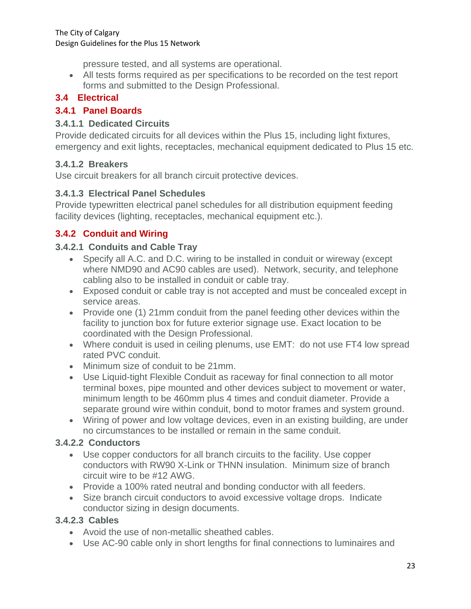pressure tested, and all systems are operational.

• All tests forms required as per specifications to be recorded on the test report forms and submitted to the Design Professional.

#### <span id="page-25-0"></span>**3.4 Electrical**

#### **3.4.1 Panel Boards**

#### **3.4.1.1 Dedicated Circuits**

Provide dedicated circuits for all devices within the Plus 15, including light fixtures, emergency and exit lights, receptacles, mechanical equipment dedicated to Plus 15 etc.

#### **3.4.1.2 Breakers**

Use circuit breakers for all branch circuit protective devices.

#### **3.4.1.3 Electrical Panel Schedules**

Provide typewritten electrical panel schedules for all distribution equipment feeding facility devices (lighting, receptacles, mechanical equipment etc.).

### **3.4.2 Conduit and Wiring**

#### **3.4.2.1 Conduits and Cable Tray**

- Specify all A.C. and D.C. wiring to be installed in conduit or wireway (except where NMD90 and AC90 cables are used). Network, security, and telephone cabling also to be installed in conduit or cable tray.
- Exposed conduit or cable tray is not accepted and must be concealed except in service areas.
- Provide one (1) 21mm conduit from the panel feeding other devices within the facility to junction box for future exterior signage use. Exact location to be coordinated with the Design Professional.
- Where conduit is used in ceiling plenums, use EMT: do not use FT4 low spread rated PVC conduit.
- Minimum size of conduit to be 21mm.
- Use Liquid-tight Flexible Conduit as raceway for final connection to all motor terminal boxes, pipe mounted and other devices subject to movement or water, minimum length to be 460mm plus 4 times and conduit diameter. Provide a separate ground wire within conduit, bond to motor frames and system ground.
- Wiring of power and low voltage devices, even in an existing building, are under no circumstances to be installed or remain in the same conduit.

#### **3.4.2.2 Conductors**

- Use copper conductors for all branch circuits to the facility. Use copper conductors with RW90 X-Link or THNN insulation. Minimum size of branch circuit wire to be #12 AWG.
- Provide a 100% rated neutral and bonding conductor with all feeders.
- Size branch circuit conductors to avoid excessive voltage drops. Indicate conductor sizing in design documents.

#### **3.4.2.3 Cables**

- Avoid the use of non-metallic sheathed cables.
- Use AC-90 cable only in short lengths for final connections to luminaires and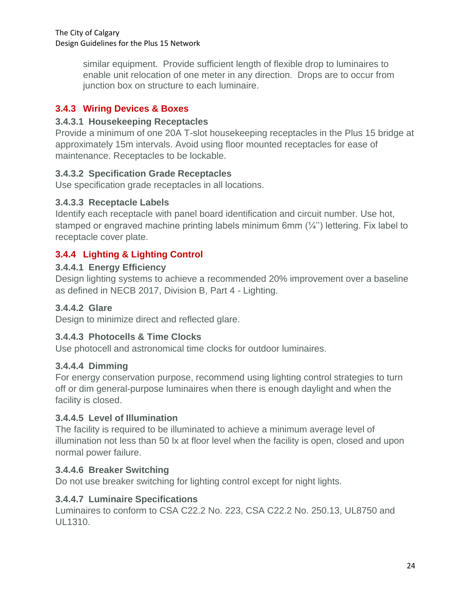similar equipment. Provide sufficient length of flexible drop to luminaires to enable unit relocation of one meter in any direction. Drops are to occur from junction box on structure to each luminaire.

## **3.4.3 Wiring Devices & Boxes**

#### **3.4.3.1 Housekeeping Receptacles**

Provide a minimum of one 20A T-slot housekeeping receptacles in the Plus 15 bridge at approximately 15m intervals. Avoid using floor mounted receptacles for ease of maintenance. Receptacles to be lockable.

### **3.4.3.2 Specification Grade Receptacles**

Use specification grade receptacles in all locations.

#### **3.4.3.3 Receptacle Labels**

Identify each receptacle with panel board identification and circuit number. Use hot, stamped or engraved machine printing labels minimum 6mm (¼'') lettering. Fix label to receptacle cover plate.

### **3.4.4 Lighting & Lighting Control**

#### **3.4.4.1 Energy Efficiency**

Design lighting systems to achieve a recommended 20% improvement over a baseline as defined in NECB 2017, Division B, Part 4 - Lighting.

#### **3.4.4.2 Glare**

Design to minimize direct and reflected glare.

### **3.4.4.3 Photocells & Time Clocks**

Use photocell and astronomical time clocks for outdoor luminaires.

#### **3.4.4.4 Dimming**

For energy conservation purpose, recommend using lighting control strategies to turn off or dim general-purpose luminaires when there is enough daylight and when the facility is closed.

#### **3.4.4.5 Level of Illumination**

The facility is required to be illuminated to achieve a minimum average level of illumination not less than 50 lx at floor level when the facility is open, closed and upon normal power failure.

#### **3.4.4.6 Breaker Switching**

Do not use breaker switching for lighting control except for night lights.

#### **3.4.4.7 Luminaire Specifications**

Luminaires to conform to CSA C22.2 No. 223, CSA C22.2 No. 250.13, UL8750 and UL1310.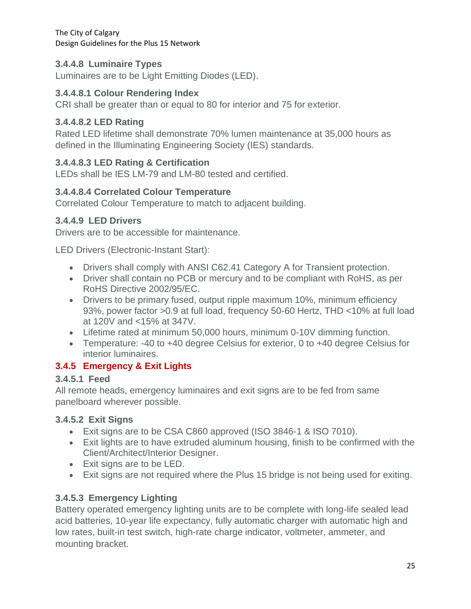## **3.4.4.8 Luminaire Types**

Luminaires are to be Light Emitting Diodes (LED).

#### **3.4.4.8.1 Colour Rendering Index**

CRI shall be greater than or equal to 80 for interior and 75 for exterior.

#### **3.4.4.8.2 LED Rating**

Rated LED lifetime shall demonstrate 70% lumen maintenance at 35,000 hours as defined in the Illuminating Engineering Society (IES) standards.

### **3.4.4.8.3 LED Rating & Certification**

LEDs shall be IES LM-79 and LM-80 tested and certified.

#### **3.4.4.8.4 Correlated Colour Temperature**

Correlated Colour Temperature to match to adjacent building.

### **3.4.4.9 LED Drivers**

Drivers are to be accessible for maintenance.

LED Drivers (Electronic-Instant Start):

- Drivers shall comply with ANSI C62.41 Category A for Transient protection.
- Driver shall contain no PCB or mercury and to be compliant with RoHS, as per RoHS Directive 2002/95/EC.
- Drivers to be primary fused, output ripple maximum 10%, minimum efficiency 93%, power factor >0.9 at full load, frequency 50-60 Hertz, THD <10% at full load at 120V and <15% at 347V.
- Lifetime rated at minimum 50,000 hours, minimum 0-10V dimming function.
- Temperature: -40 to +40 degree Celsius for exterior, 0 to +40 degree Celsius for interior luminaires.

### **3.4.5 Emergency & Exit Lights**

### **3.4.5.1 Feed**

All remote heads, emergency luminaires and exit signs are to be fed from same panelboard wherever possible.

### **3.4.5.2 Exit Signs**

- Exit signs are to be CSA C860 approved (ISO 3846-1 & ISO 7010).
- Exit lights are to have extruded aluminum housing, finish to be confirmed with the Client/Architect/Interior Designer.
- Exit signs are to be LED.
- Exit signs are not required where the Plus 15 bridge is not being used for exiting.

## **3.4.5.3 Emergency Lighting**

Battery operated emergency lighting units are to be complete with long-life sealed lead acid batteries, 10-year life expectancy, fully automatic charger with automatic high and low rates, built-in test switch, high-rate charge indicator, voltmeter, ammeter, and mounting bracket.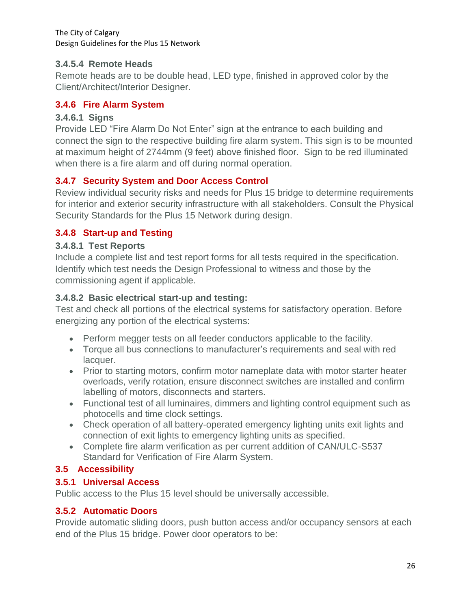#### **3.4.5.4 Remote Heads**

Remote heads are to be double head, LED type, finished in approved color by the Client/Architect/Interior Designer.

#### **3.4.6 Fire Alarm System**

#### **3.4.6.1 Signs**

Provide LED "Fire Alarm Do Not Enter" sign at the entrance to each building and connect the sign to the respective building fire alarm system. This sign is to be mounted at maximum height of 2744mm (9 feet) above finished floor. Sign to be red illuminated when there is a fire alarm and off during normal operation.

#### **3.4.7 Security System and Door Access Control**

Review individual security risks and needs for Plus 15 bridge to determine requirements for interior and exterior security infrastructure with all stakeholders. Consult the Physical Security Standards for the Plus 15 Network during design.

### **3.4.8 Start-up and Testing**

#### **3.4.8.1 Test Reports**

Include a complete list and test report forms for all tests required in the specification. Identify which test needs the Design Professional to witness and those by the commissioning agent if applicable.

#### **3.4.8.2 Basic electrical start-up and testing:**

Test and check all portions of the electrical systems for satisfactory operation. Before energizing any portion of the electrical systems:

- Perform megger tests on all feeder conductors applicable to the facility.
- Torque all bus connections to manufacturer's requirements and seal with red lacquer.
- Prior to starting motors, confirm motor nameplate data with motor starter heater overloads, verify rotation, ensure disconnect switches are installed and confirm labelling of motors, disconnects and starters.
- Functional test of all luminaires, dimmers and lighting control equipment such as photocells and time clock settings.
- Check operation of all battery-operated emergency lighting units exit lights and connection of exit lights to emergency lighting units as specified.
- Complete fire alarm verification as per current addition of CAN/ULC-S537 Standard for Verification of Fire Alarm System.

### <span id="page-28-0"></span>**3.5 Accessibility**

#### **3.5.1 Universal Access**

Public access to the Plus 15 level should be universally accessible.

#### **3.5.2 Automatic Doors**

Provide automatic sliding doors, push button access and/or occupancy sensors at each end of the Plus 15 bridge. Power door operators to be: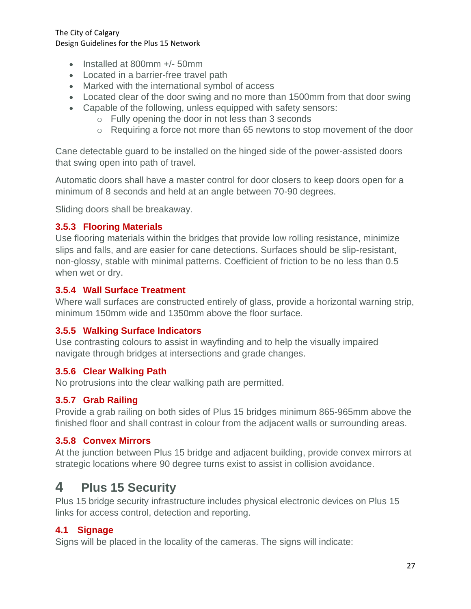- Installed at 800mm +/- 50mm
- Located in a barrier-free travel path
- Marked with the international symbol of access
- Located clear of the door swing and no more than 1500mm from that door swing
- Capable of the following, unless equipped with safety sensors:
	- o Fully opening the door in not less than 3 seconds
	- o Requiring a force not more than 65 newtons to stop movement of the door

Cane detectable guard to be installed on the hinged side of the power-assisted doors that swing open into path of travel.

Automatic doors shall have a master control for door closers to keep doors open for a minimum of 8 seconds and held at an angle between 70-90 degrees.

Sliding doors shall be breakaway.

#### **3.5.3 Flooring Materials**

Use flooring materials within the bridges that provide low rolling resistance, minimize slips and falls, and are easier for cane detections. Surfaces should be slip-resistant, non-glossy, stable with minimal patterns. Coefficient of friction to be no less than 0.5 when wet or dry.

#### **3.5.4 Wall Surface Treatment**

Where wall surfaces are constructed entirely of glass, provide a horizontal warning strip, minimum 150mm wide and 1350mm above the floor surface.

#### **3.5.5 Walking Surface Indicators**

Use contrasting colours to assist in wayfinding and to help the visually impaired navigate through bridges at intersections and grade changes.

#### **3.5.6 Clear Walking Path**

No protrusions into the clear walking path are permitted.

#### **3.5.7 Grab Railing**

Provide a grab railing on both sides of Plus 15 bridges minimum 865-965mm above the finished floor and shall contrast in colour from the adjacent walls or surrounding areas.

#### **3.5.8 Convex Mirrors**

At the junction between Plus 15 bridge and adjacent building, provide convex mirrors at strategic locations where 90 degree turns exist to assist in collision avoidance.

## <span id="page-29-0"></span>**<sup>4</sup> Plus 15 Security**

Plus 15 bridge security infrastructure includes physical electronic devices on Plus 15 links for access control, detection and reporting.

#### <span id="page-29-1"></span>**4.1 Signage**

Signs will be placed in the locality of the cameras. The signs will indicate: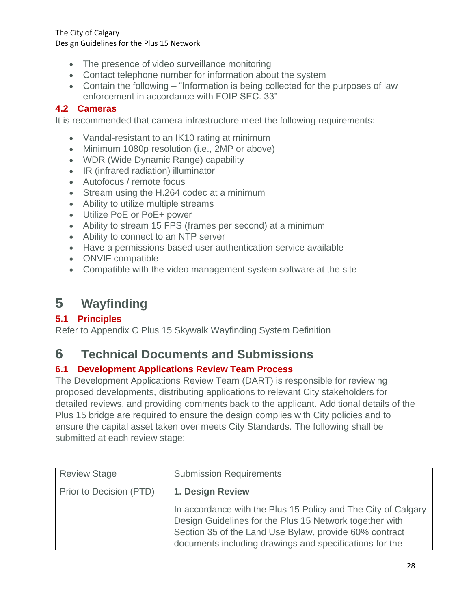- The presence of video surveillance monitoring
- Contact telephone number for information about the system
- Contain the following "Information is being collected for the purposes of law enforcement in accordance with FOIP SEC. 33"

#### <span id="page-30-0"></span>**4.2 Cameras**

It is recommended that camera infrastructure meet the following requirements:

- Vandal-resistant to an IK10 rating at minimum
- Minimum 1080p resolution (i.e., 2MP or above)
- WDR (Wide Dynamic Range) capability
- IR (infrared radiation) illuminator
- Autofocus / remote focus
- Stream using the H.264 codec at a minimum
- Ability to utilize multiple streams
- Utilize PoE or PoE+ power
- Ability to stream 15 FPS (frames per second) at a minimum
- Ability to connect to an NTP server
- Have a permissions-based user authentication service available
- ONVIF compatible
- Compatible with the video management system software at the site

# <span id="page-30-1"></span>**<sup>5</sup> Wayfinding**

#### <span id="page-30-2"></span>**5.1 Principles**

Refer to Appendix C Plus 15 Skywalk Wayfinding System Definition

## <span id="page-30-3"></span>**<sup>6</sup> Technical Documents and Submissions**

### <span id="page-30-4"></span>**6.1 Development Applications Review Team Process**

The Development Applications Review Team (DART) is responsible for reviewing proposed developments, distributing applications to relevant City stakeholders for detailed reviews, and providing comments back to the applicant. Additional details of the Plus 15 bridge are required to ensure the design complies with City policies and to ensure the capital asset taken over meets City Standards. The following shall be submitted at each review stage:

| <b>Review Stage</b>     | <b>Submission Requirements</b>                                                                                                                                                                                                                |
|-------------------------|-----------------------------------------------------------------------------------------------------------------------------------------------------------------------------------------------------------------------------------------------|
| Prior to Decision (PTD) | 1. Design Review                                                                                                                                                                                                                              |
|                         | In accordance with the Plus 15 Policy and The City of Calgary<br>Design Guidelines for the Plus 15 Network together with<br>Section 35 of the Land Use Bylaw, provide 60% contract<br>documents including drawings and specifications for the |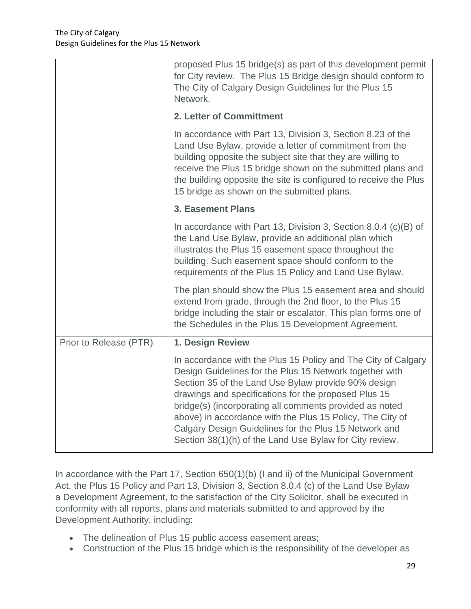|                        | proposed Plus 15 bridge(s) as part of this development permit<br>for City review. The Plus 15 Bridge design should conform to<br>The City of Calgary Design Guidelines for the Plus 15<br>Network.                                                                                                                                                                                                                                                                                  |
|------------------------|-------------------------------------------------------------------------------------------------------------------------------------------------------------------------------------------------------------------------------------------------------------------------------------------------------------------------------------------------------------------------------------------------------------------------------------------------------------------------------------|
|                        | 2. Letter of Committment                                                                                                                                                                                                                                                                                                                                                                                                                                                            |
|                        | In accordance with Part 13, Division 3, Section 8.23 of the<br>Land Use Bylaw, provide a letter of commitment from the<br>building opposite the subject site that they are willing to<br>receive the Plus 15 bridge shown on the submitted plans and<br>the building opposite the site is configured to receive the Plus<br>15 bridge as shown on the submitted plans.                                                                                                              |
|                        | <b>3. Easement Plans</b>                                                                                                                                                                                                                                                                                                                                                                                                                                                            |
|                        | In accordance with Part 13, Division 3, Section 8.0.4 $(c)(B)$ of<br>the Land Use Bylaw, provide an additional plan which<br>illustrates the Plus 15 easement space throughout the<br>building. Such easement space should conform to the<br>requirements of the Plus 15 Policy and Land Use Bylaw.                                                                                                                                                                                 |
|                        | The plan should show the Plus 15 easement area and should<br>extend from grade, through the 2nd floor, to the Plus 15<br>bridge including the stair or escalator. This plan forms one of<br>the Schedules in the Plus 15 Development Agreement.                                                                                                                                                                                                                                     |
| Prior to Release (PTR) | 1. Design Review                                                                                                                                                                                                                                                                                                                                                                                                                                                                    |
|                        | In accordance with the Plus 15 Policy and The City of Calgary<br>Design Guidelines for the Plus 15 Network together with<br>Section 35 of the Land Use Bylaw provide 90% design<br>drawings and specifications for the proposed Plus 15<br>bridge(s) (incorporating all comments provided as noted<br>above) in accordance with the Plus 15 Policy, The City of<br>Calgary Design Guidelines for the Plus 15 Network and<br>Section 38(1)(h) of the Land Use Bylaw for City review. |

In accordance with the Part 17, Section 650(1)(b) (I and ii) of the Municipal Government Act, the Plus 15 Policy and Part 13, Division 3, Section 8.0.4 (c) of the Land Use Bylaw a Development Agreement, to the satisfaction of the City Solicitor, shall be executed in conformity with all reports, plans and materials submitted to and approved by the Development Authority, including:

- The delineation of Plus 15 public access easement areas;
- Construction of the Plus 15 bridge which is the responsibility of the developer as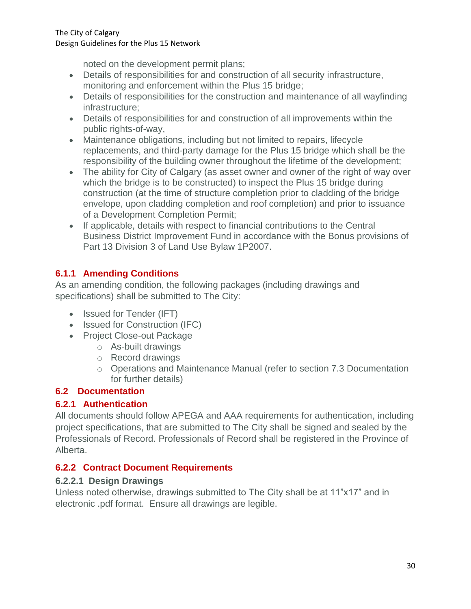noted on the development permit plans;

- Details of responsibilities for and construction of all security infrastructure, monitoring and enforcement within the Plus 15 bridge;
- Details of responsibilities for the construction and maintenance of all wayfinding infrastructure;
- Details of responsibilities for and construction of all improvements within the public rights-of-way,
- Maintenance obligations, including but not limited to repairs, lifecycle replacements, and third-party damage for the Plus 15 bridge which shall be the responsibility of the building owner throughout the lifetime of the development;
- The ability for City of Calgary (as asset owner and owner of the right of way over which the bridge is to be constructed) to inspect the Plus 15 bridge during construction (at the time of structure completion prior to cladding of the bridge envelope, upon cladding completion and roof completion) and prior to issuance of a Development Completion Permit;
- If applicable, details with respect to financial contributions to the Central Business District Improvement Fund in accordance with the Bonus provisions of Part 13 Division 3 of Land Use Bylaw 1P2007.

## **6.1.1 Amending Conditions**

As an amending condition, the following packages (including drawings and specifications) shall be submitted to The City:

- Issued for Tender (IFT)
- Issued for Construction (IFC)
- Project Close-out Package
	- o As-built drawings
	- o Record drawings
	- o Operations and Maintenance Manual (refer to section 7.3 Documentation for further details)

## <span id="page-32-0"></span>**6.2 Documentation**

### **6.2.1 Authentication**

All documents should follow APEGA and AAA requirements for authentication, including project specifications, that are submitted to The City shall be signed and sealed by the Professionals of Record. Professionals of Record shall be registered in the Province of Alberta.

### **6.2.2 Contract Document Requirements**

### **6.2.2.1 Design Drawings**

Unless noted otherwise, drawings submitted to The City shall be at 11"x17" and in electronic .pdf format. Ensure all drawings are legible.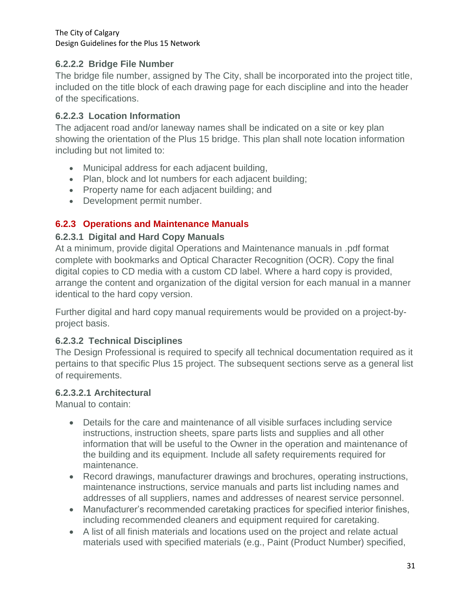#### **6.2.2.2 Bridge File Number**

The bridge file number, assigned by The City, shall be incorporated into the project title, included on the title block of each drawing page for each discipline and into the header of the specifications.

#### **6.2.2.3 Location Information**

The adjacent road and/or laneway names shall be indicated on a site or key plan showing the orientation of the Plus 15 bridge. This plan shall note location information including but not limited to:

- Municipal address for each adjacent building,
- Plan, block and lot numbers for each adjacent building;
- Property name for each adjacent building; and
- Development permit number.

## **6.2.3 Operations and Maintenance Manuals**

#### **6.2.3.1 Digital and Hard Copy Manuals**

At a minimum, provide digital Operations and Maintenance manuals in .pdf format complete with bookmarks and Optical Character Recognition (OCR). Copy the final digital copies to CD media with a custom CD label. Where a hard copy is provided, arrange the content and organization of the digital version for each manual in a manner identical to the hard copy version.

Further digital and hard copy manual requirements would be provided on a project-byproject basis.

#### **6.2.3.2 Technical Disciplines**

The Design Professional is required to specify all technical documentation required as it pertains to that specific Plus 15 project. The subsequent sections serve as a general list of requirements.

#### **6.2.3.2.1 Architectural**

Manual to contain:

- Details for the care and maintenance of all visible surfaces including service instructions, instruction sheets, spare parts lists and supplies and all other information that will be useful to the Owner in the operation and maintenance of the building and its equipment. Include all safety requirements required for maintenance.
- Record drawings, manufacturer drawings and brochures, operating instructions, maintenance instructions, service manuals and parts list including names and addresses of all suppliers, names and addresses of nearest service personnel.
- Manufacturer's recommended caretaking practices for specified interior finishes, including recommended cleaners and equipment required for caretaking.
- A list of all finish materials and locations used on the project and relate actual materials used with specified materials (e.g., Paint (Product Number) specified,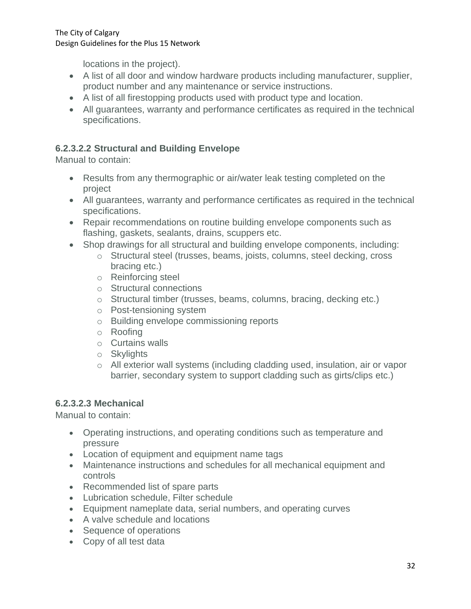locations in the project).

- A list of all door and window hardware products including manufacturer, supplier, product number and any maintenance or service instructions.
- A list of all firestopping products used with product type and location.
- All guarantees, warranty and performance certificates as required in the technical specifications.

#### **6.2.3.2.2 Structural and Building Envelope**

Manual to contain:

- Results from any thermographic or air/water leak testing completed on the project
- All guarantees, warranty and performance certificates as required in the technical specifications.
- Repair recommendations on routine building envelope components such as flashing, gaskets, sealants, drains, scuppers etc.
- Shop drawings for all structural and building envelope components, including:
	- o Structural steel (trusses, beams, joists, columns, steel decking, cross bracing etc.)
	- o Reinforcing steel
	- o Structural connections
	- o Structural timber (trusses, beams, columns, bracing, decking etc.)
	- o Post-tensioning system
	- o Building envelope commissioning reports
	- o Roofing
	- o Curtains walls
	- o Skylights
	- o All exterior wall systems (including cladding used, insulation, air or vapor barrier, secondary system to support cladding such as girts/clips etc.)

#### **6.2.3.2.3 Mechanical**

Manual to contain:

- Operating instructions, and operating conditions such as temperature and pressure
- Location of equipment and equipment name tags
- Maintenance instructions and schedules for all mechanical equipment and controls
- Recommended list of spare parts
- Lubrication schedule, Filter schedule
- Equipment nameplate data, serial numbers, and operating curves
- A valve schedule and locations
- Sequence of operations
- Copy of all test data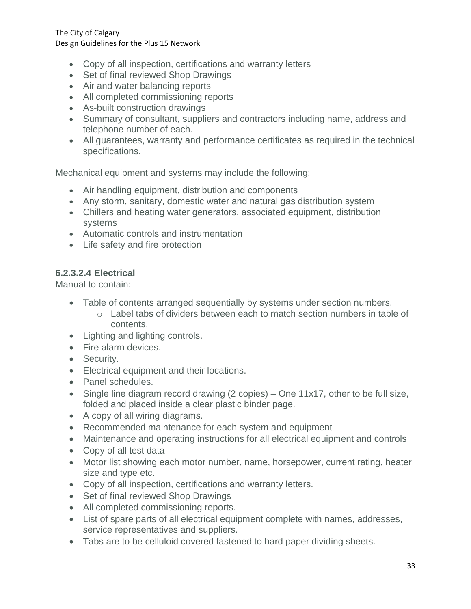- Copy of all inspection, certifications and warranty letters
- Set of final reviewed Shop Drawings
- Air and water balancing reports
- All completed commissioning reports
- As-built construction drawings
- Summary of consultant, suppliers and contractors including name, address and telephone number of each.
- All guarantees, warranty and performance certificates as required in the technical specifications.

Mechanical equipment and systems may include the following:

- Air handling equipment, distribution and components
- Any storm, sanitary, domestic water and natural gas distribution system
- Chillers and heating water generators, associated equipment, distribution systems
- Automatic controls and instrumentation
- Life safety and fire protection

#### **6.2.3.2.4 Electrical**

Manual to contain:

- Table of contents arranged sequentially by systems under section numbers.
	- o Label tabs of dividers between each to match section numbers in table of contents.
- Lighting and lighting controls.
- Fire alarm devices.
- Security.
- Electrical equipment and their locations.
- Panel schedules.
- Single line diagram record drawing (2 copies) One 11x17, other to be full size, folded and placed inside a clear plastic binder page.
- A copy of all wiring diagrams.
- Recommended maintenance for each system and equipment
- Maintenance and operating instructions for all electrical equipment and controls
- Copy of all test data
- Motor list showing each motor number, name, horsepower, current rating, heater size and type etc.
- Copy of all inspection, certifications and warranty letters.
- Set of final reviewed Shop Drawings
- All completed commissioning reports.
- List of spare parts of all electrical equipment complete with names, addresses, service representatives and suppliers.
- Tabs are to be celluloid covered fastened to hard paper dividing sheets.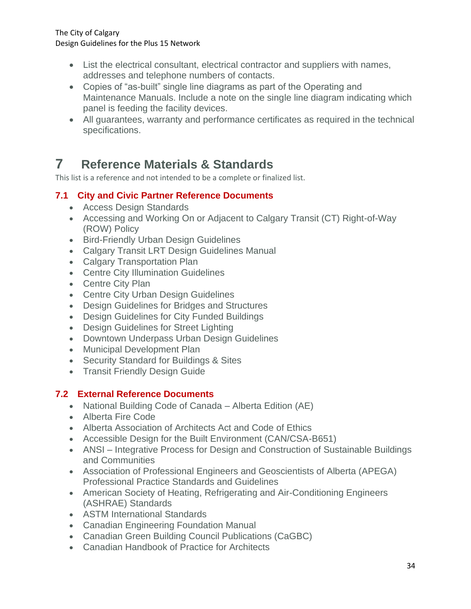- List the electrical consultant, electrical contractor and suppliers with names, addresses and telephone numbers of contacts.
- Copies of "as-built" single line diagrams as part of the Operating and Maintenance Manuals. Include a note on the single line diagram indicating which panel is feeding the facility devices.
- All guarantees, warranty and performance certificates as required in the technical specifications.

# <span id="page-36-0"></span>**<sup>7</sup> Reference Materials & Standards**

This list is a reference and not intended to be a complete or finalized list.

## <span id="page-36-1"></span>**7.1 City and Civic Partner Reference Documents**

- Access Design Standards
- Accessing and Working On or Adjacent to Calgary Transit (CT) Right-of-Way (ROW) Policy
- Bird-Friendly Urban Design Guidelines
- Calgary Transit LRT Design Guidelines Manual
- Calgary Transportation Plan
- Centre City Illumination Guidelines
- Centre City Plan
- Centre City Urban Design Guidelines
- Design Guidelines for Bridges and Structures
- Design Guidelines for City Funded Buildings
- Design Guidelines for Street Lighting
- Downtown Underpass Urban Design Guidelines
- Municipal Development Plan
- Security Standard for Buildings & Sites
- Transit Friendly Design Guide

### <span id="page-36-2"></span>**7.2 External Reference Documents**

- National Building Code of Canada Alberta Edition (AE)
- Alberta Fire Code
- Alberta Association of Architects Act and Code of Ethics
- Accessible Design for the Built Environment (CAN/CSA-B651)
- ANSI Integrative Process for Design and Construction of Sustainable Buildings and Communities
- Association of Professional Engineers and Geoscientists of Alberta (APEGA) Professional Practice Standards and Guidelines
- American Society of Heating, Refrigerating and Air-Conditioning Engineers (ASHRAE) Standards
- ASTM International Standards
- Canadian Engineering Foundation Manual
- Canadian Green Building Council Publications (CaGBC)
- Canadian Handbook of Practice for Architects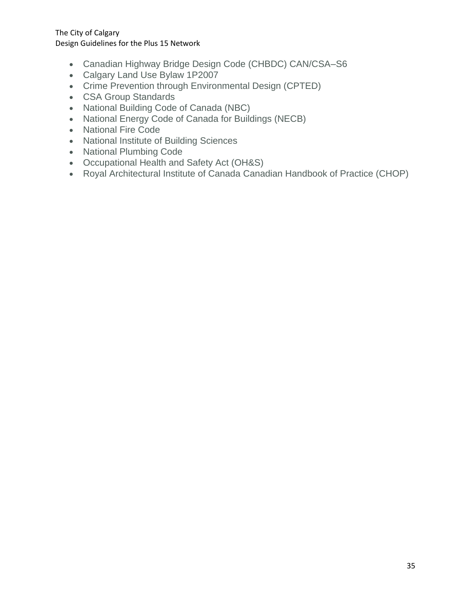- Canadian Highway Bridge Design Code (CHBDC) CAN/CSA–S6
- Calgary Land Use Bylaw 1P2007
- Crime Prevention through Environmental Design (CPTED)
- CSA Group Standards
- National Building Code of Canada (NBC)
- National Energy Code of Canada for Buildings (NECB)
- National Fire Code
- National Institute of Building Sciences
- National Plumbing Code
- Occupational Health and Safety Act (OH&S)
- Royal Architectural Institute of Canada Canadian Handbook of Practice (CHOP)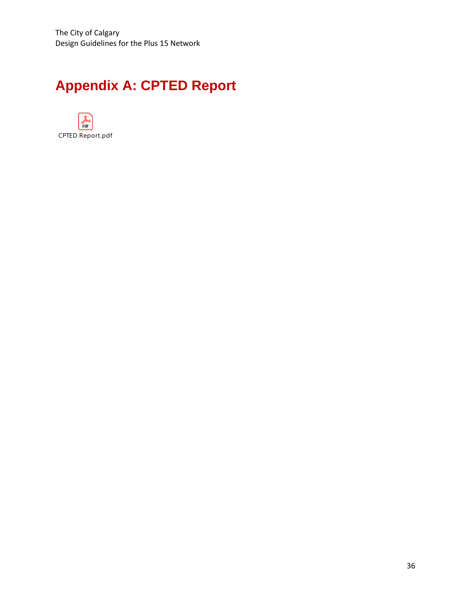# <span id="page-38-0"></span>**Appendix A: CPTED Report**

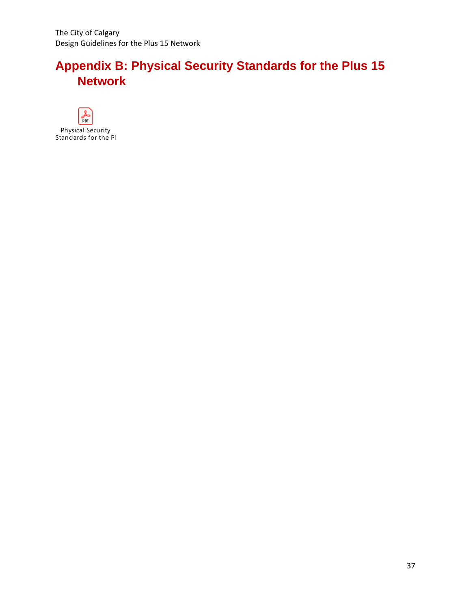# <span id="page-39-0"></span>**Appendix B: Physical Security Standards for the Plus 15 Network**